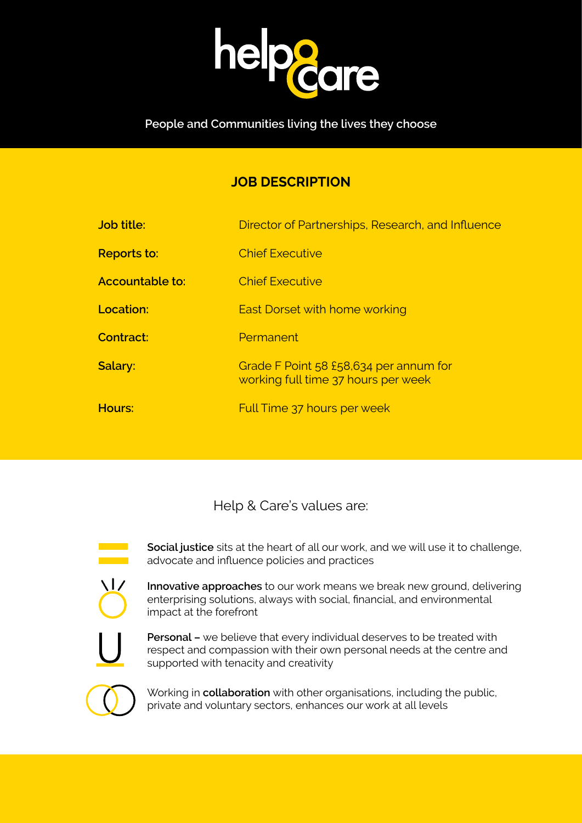

## **People and Communities living the lives they choose**

# **JOB DESCRIPTION**

| Job title:             | Director of Partnerships, Research, and Influence                             |
|------------------------|-------------------------------------------------------------------------------|
| <b>Reports to:</b>     | <b>Chief Executive</b>                                                        |
| <b>Accountable to:</b> | <b>Chief Executive</b>                                                        |
| Location:              | <b>East Dorset with home working</b>                                          |
| <b>Contract:</b>       | Permanent                                                                     |
| Salary:                | Grade F Point 58 £58,634 per annum for<br>working full time 37 hours per week |
| Hours:                 | Full Time 37 hours per week                                                   |
|                        |                                                                               |

Help & Care's values are:



**Social justice** sits at the heart of all our work, and we will use it to challenge, advocate and influence policies and practices



**Innovative approaches** to our work means we break new ground, delivering enterprising solutions, always with social, financial, and environmental impact at the forefront



**Personal –** we believe that every individual deserves to be treated with respect and compassion with their own personal needs at the centre and supported with tenacity and creativity



Working in **collaboration** with other organisations, including the public, private and voluntary sectors, enhances our work at all levels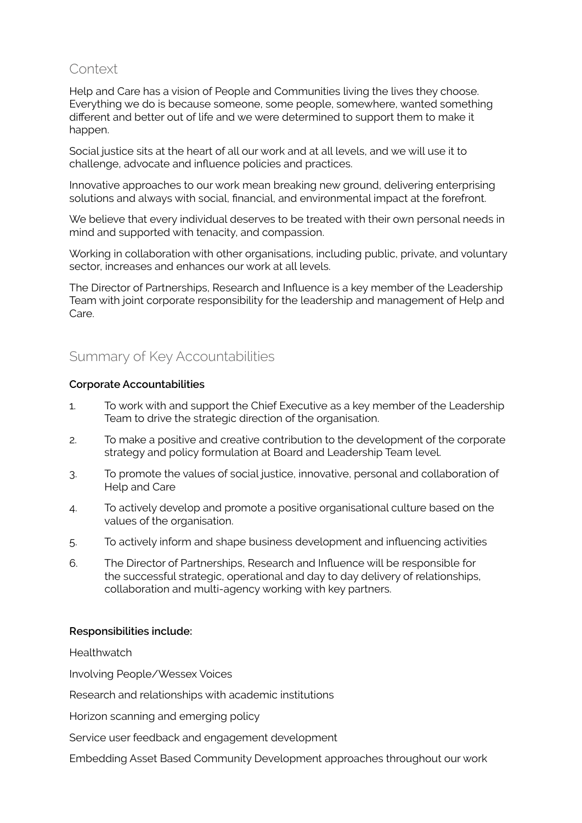## **Context**

Help and Care has a vision of People and Communities living the lives they choose. Everything we do is because someone, some people, somewhere, wanted something different and better out of life and we were determined to support them to make it happen.

Social justice sits at the heart of all our work and at all levels, and we will use it to challenge, advocate and influence policies and practices.

Innovative approaches to our work mean breaking new ground, delivering enterprising solutions and always with social, financial, and environmental impact at the forefront.

We believe that every individual deserves to be treated with their own personal needs in mind and supported with tenacity, and compassion.

Working in collaboration with other organisations, including public, private, and voluntary sector, increases and enhances our work at all levels.

The Director of Partnerships, Research and Influence is a key member of the Leadership Team with joint corporate responsibility for the leadership and management of Help and Care.

## Summary of Key Accountabilities

#### **Corporate Accountabilities**

- 1. To work with and support the Chief Executive as a key member of the Leadership Team to drive the strategic direction of the organisation.
- 2. To make a positive and creative contribution to the development of the corporate strategy and policy formulation at Board and Leadership Team level.
- 3. To promote the values of social justice, innovative, personal and collaboration of Help and Care
- 4. To actively develop and promote a positive organisational culture based on the values of the organisation.
- 5. To actively inform and shape business development and influencing activities
- 6. The Director of Partnerships, Research and Influence will be responsible for the successful strategic, operational and day to day delivery of relationships, collaboration and multi-agency working with key partners.

### **Responsibilities include:**

**Healthwatch** 

Involving People/Wessex Voices

Research and relationships with academic institutions

Horizon scanning and emerging policy

Service user feedback and engagement development

Embedding Asset Based Community Development approaches throughout our work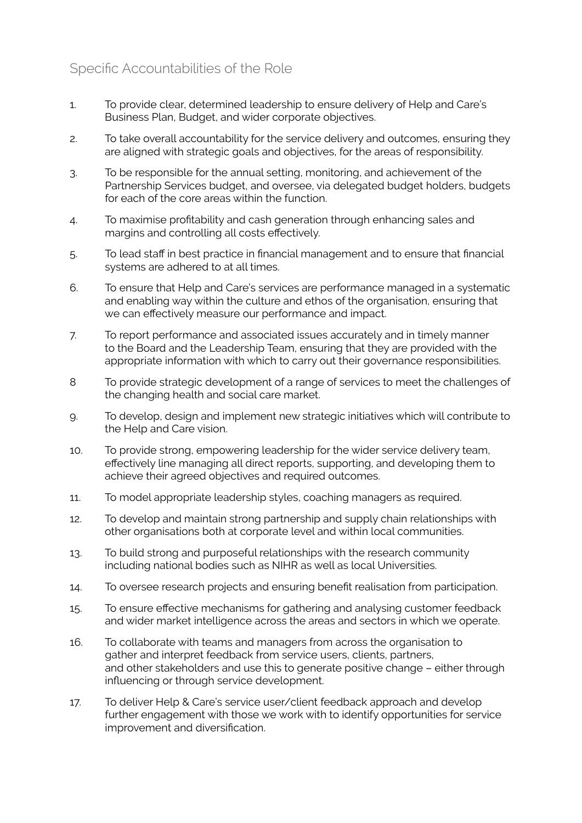## Specific Accountabilities of the Role

- 1. To provide clear, determined leadership to ensure delivery of Help and Care's Business Plan, Budget, and wider corporate objectives.
- 2. To take overall accountability for the service delivery and outcomes, ensuring they are aligned with strategic goals and objectives, for the areas of responsibility.
- 3. To be responsible for the annual setting, monitoring, and achievement of the Partnership Services budget, and oversee, via delegated budget holders, budgets for each of the core areas within the function.
- 4. To maximise profitability and cash generation through enhancing sales and margins and controlling all costs effectively.
- 5. To lead staff in best practice in financial management and to ensure that financial systems are adhered to at all times.
- 6. To ensure that Help and Care's services are performance managed in a systematic and enabling way within the culture and ethos of the organisation, ensuring that we can effectively measure our performance and impact.
- 7. To report performance and associated issues accurately and in timely manner to the Board and the Leadership Team, ensuring that they are provided with the appropriate information with which to carry out their governance responsibilities.
- 8 To provide strategic development of a range of services to meet the challenges of the changing health and social care market.
- 9. To develop, design and implement new strategic initiatives which will contribute to the Help and Care vision.
- 10. To provide strong, empowering leadership for the wider service delivery team, effectively line managing all direct reports, supporting, and developing them to achieve their agreed objectives and required outcomes.
- 11. To model appropriate leadership styles, coaching managers as required.
- 12. To develop and maintain strong partnership and supply chain relationships with other organisations both at corporate level and within local communities.
- 13. To build strong and purposeful relationships with the research community including national bodies such as NIHR as well as local Universities.
- 14. To oversee research projects and ensuring benefit realisation from participation.
- 15. To ensure effective mechanisms for gathering and analysing customer feedback and wider market intelligence across the areas and sectors in which we operate.
- 16. To collaborate with teams and managers from across the organisation to gather and interpret feedback from service users, clients, partners, and other stakeholders and use this to generate positive change – either through influencing or through service development.
- 17. To deliver Help & Care's service user/client feedback approach and develop further engagement with those we work with to identify opportunities for service improvement and diversification.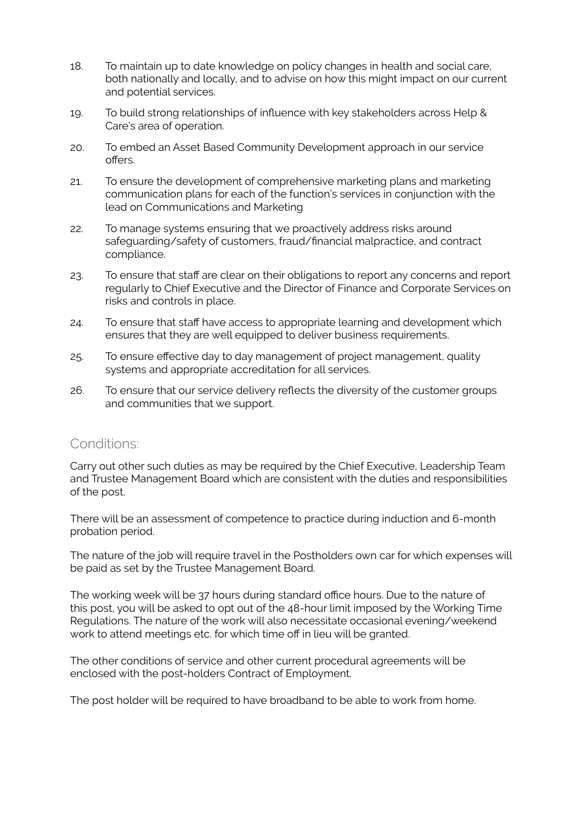- 18. To maintain up to date knowledge on policy changes in health and social care, both nationally and locally, and to advise on how this might impact on our current and potential services.
- 19. To build strong relationships of influence with key stakeholders across Help & Care's area of operation.
- 20. To embed an Asset Based Community Development approach in our service offers.
- 21. To ensure the development of comprehensive marketing plans and marketing communication plans for each of the function's services in conjunction with the lead on Communications and Marketing
- 22. To manage systems ensuring that we proactively address risks around safeguarding/safety of customers, fraud/financial malpractice, and contract compliance.
- 23. To ensure that staff are clear on their obligations to report any concerns and report regularly to Chief Executive and the Director of Finance and Corporate Services on risks and controls in place.
- 24. To ensure that staff have access to appropriate learning and development which ensures that they are well equipped to deliver business requirements.
- 25. To ensure effective day to day management of project management, quality systems and appropriate accreditation for all services.
- 26. To ensure that our service delivery reflects the diversity of the customer groups and communities that we support.

## Conditions:

Carry out other such duties as may be required by the Chief Executive, Leadership Team and Trustee Management Board which are consistent with the duties and responsibilities of the post.

There will be an assessment of competence to practice during induction and 6-month probation period.

The nature of the job will require travel in the Postholders own car for which expenses will be paid as set by the Trustee Management Board.

The working week will be 37 hours during standard office hours. Due to the nature of this post, you will be asked to opt out of the 48-hour limit imposed by the Working Time Regulations. The nature of the work will also necessitate occasional evening/weekend work to attend meetings etc. for which time off in lieu will be granted.

The other conditions of service and other current procedural agreements will be enclosed with the post-holders Contract of Employment.

The post holder will be required to have broadband to be able to work from home.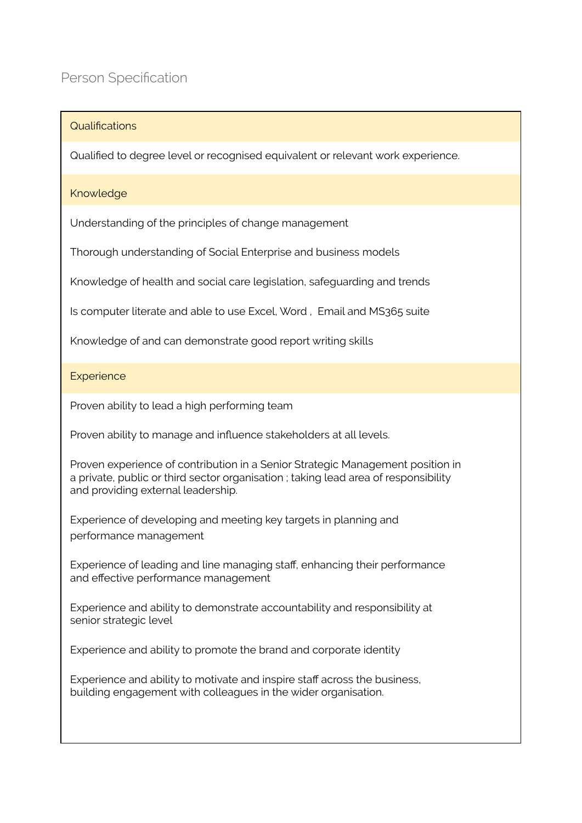### Qualifications

Qualified to degree level or recognised equivalent or relevant work experience.

#### Knowledge

Understanding of the principles of change management

Thorough understanding of Social Enterprise and business models

Knowledge of health and social care legislation, safeguarding and trends

Is computer literate and able to use Excel, Word , Email and MS365 suite

Knowledge of and can demonstrate good report writing skills

#### **Experience**

Proven ability to lead a high performing team

Proven ability to manage and influence stakeholders at all levels.

Proven experience of contribution in a Senior Strategic Management position in a private, public or third sector organisation ; taking lead area of responsibility and providing external leadership.

Experience of developing and meeting key targets in planning and performance management

Experience of leading and line managing staff, enhancing their performance and effective performance management

Experience and ability to demonstrate accountability and responsibility at senior strategic level

Experience and ability to promote the brand and corporate identity

Experience and ability to motivate and inspire staff across the business, building engagement with colleagues in the wider organisation.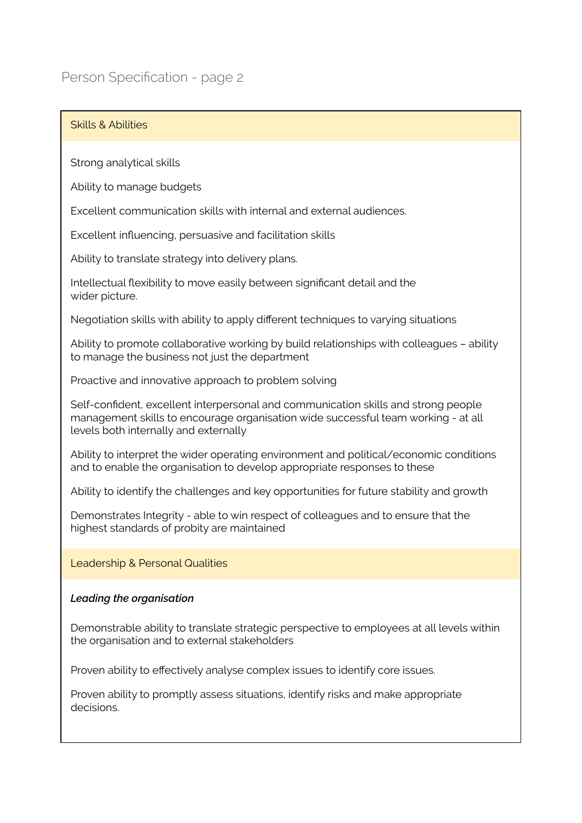# Person Specification - page 2

### Skills & Abilities

Strong analytical skills

Ability to manage budgets

Excellent communication skills with internal and external audiences.

Excellent influencing, persuasive and facilitation skills

Ability to translate strategy into delivery plans.

Intellectual flexibility to move easily between significant detail and the wider picture.

Negotiation skills with ability to apply different techniques to varying situations

Ability to promote collaborative working by build relationships with colleagues – ability to manage the business not just the department

Proactive and innovative approach to problem solving

Self-confident, excellent interpersonal and communication skills and strong people management skills to encourage organisation wide successful team working - at all levels both internally and externally

Ability to interpret the wider operating environment and political/economic conditions and to enable the organisation to develop appropriate responses to these

Ability to identify the challenges and key opportunities for future stability and growth

Demonstrates Integrity - able to win respect of colleagues and to ensure that the highest standards of probity are maintained

Leadership & Personal Qualities

#### *Leading the organisation*

Demonstrable ability to translate strategic perspective to employees at all levels within the organisation and to external stakeholders

Proven ability to effectively analyse complex issues to identify core issues.

Proven ability to promptly assess situations, identify risks and make appropriate decisions.